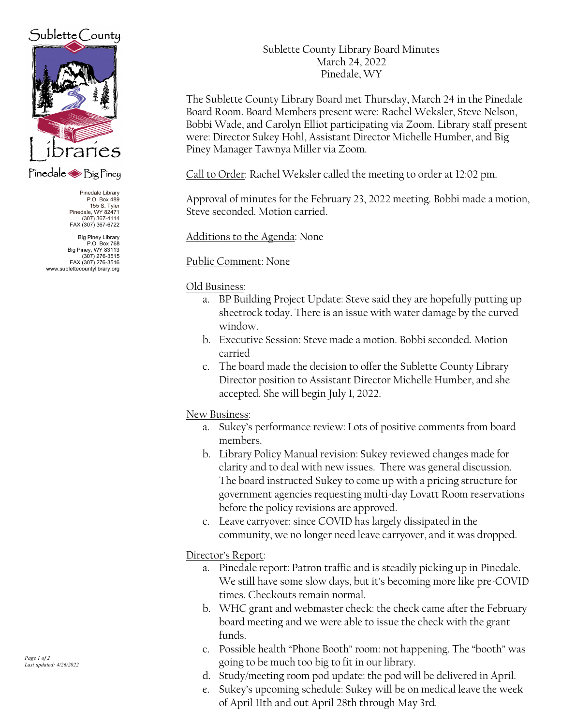# $Sublette$  County



### Pinedale Big Piney

Pinedale Library P.O. Box 489 155 S. Tyler Pinedale, WY 82471 (307) 367-4114 FAX (307) 367-6722

Big Piney Library P.O. Box 768 Big Piney, WY 83113 (307) 276-3515 FAX (307) 276-3516 www.sublettecountylibrary.org Sublette County Library Board Minutes March 24, 2022 Pinedale, WY

The Sublette County Library Board met Thursday, March 24 in the Pinedale Board Room. Board Members present were: Rachel Weksler, Steve Nelson, Bobbi Wade, and Carolyn Elliot participating via Zoom. Library staff present were: Director Sukey Hohl, Assistant Director Michelle Humber, and Big Piney Manager Tawnya Miller via Zoom.

Call to Order: Rachel Weksler called the meeting to order at 12:02 pm.

Approval of minutes for the February 23, 2022 meeting. Bobbi made a motion, Steve seconded. Motion carried.

Additions to the Agenda: None

Public Comment: None

#### Old Business:

- a. BP Building Project Update: Steve said they are hopefully putting up sheetrock today. There is an issue with water damage by the curved window.
- b. Executive Session: Steve made a motion. Bobbi seconded. Motion carried
- c. The board made the decision to offer the Sublette County Library Director position to Assistant Director Michelle Humber, and she accepted. She will begin July 1, 2022.

#### New Business:

- a. Sukey's performance review: Lots of positive comments from board members.
- b. Library Policy Manual revision: Sukey reviewed changes made for clarity and to deal with new issues. There was general discussion. The board instructed Sukey to come up with a pricing structure for government agencies requesting multi-day Lovatt Room reservations before the policy revisions are approved.
- c. Leave carryover: since COVID has largely dissipated in the community, we no longer need leave carryover, and it was dropped.

### Director's Report:

- a. Pinedale report: Patron traffic and is steadily picking up in Pinedale. We still have some slow days, but it's becoming more like pre-COVID times. Checkouts remain normal.
- b. WHC grant and webmaster check: the check came after the February board meeting and we were able to issue the check with the grant funds.
- c. Possible health "Phone Booth" room: not happening. The "booth" was going to be much too big to fit in our library.
- d. Study/meeting room pod update: the pod will be delivered in April.
- e. Sukey's upcoming schedule: Sukey will be on medical leave the week of April 11th and out April 28th through May 3rd.

Page 1 of 2 Last updated: 4/26/2022